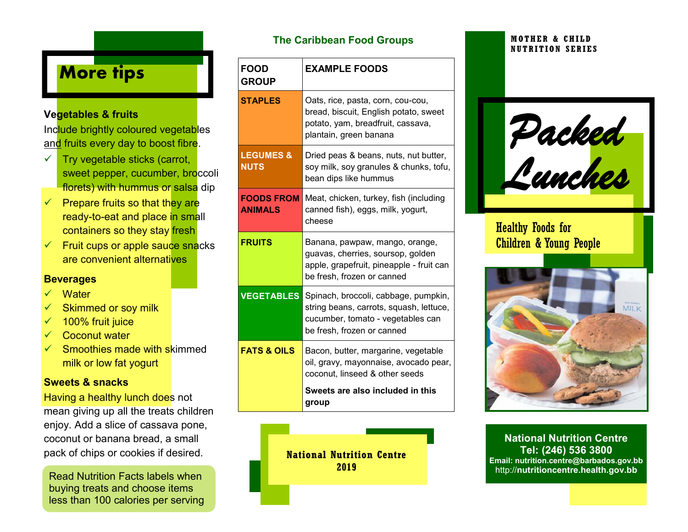# **More tips**

### **Vegetables & fruits**

Include brightly coloured vegetables and fruits every day to boost fibre.

- $\checkmark$  Try vegetable sticks (carrot, sweet pepper, cucumber, broccoli florets) with hummus or salsa dip
- $\checkmark$  Prepare fruits so that they are ready-to-eat and place in small containers so they stay fresh
- $\checkmark$  Fruit cups or apple sauce snacks are convenient alternatives

### **Beverages**

- **Water**
- Skimmed or soy milk
- $\checkmark$  100% fruit juice
- Coconut water
- Smoothies made with skimmed milk or low fat yogurt

### **Sweets & snacks**

Having a healthy lunch does not mean giving up all the treats children enjoy. Add a slice of cassava pone, coconut or banana bread, a small pack of chips or cookies if desired.

Read Nutrition Facts labels when buying treats and choose items less than 100 calories per serving

### **The Caribbean Food Groups**

| <b>FOOD</b><br><b>GROUP</b>         | <b>EXAMPLE FOODS</b>                                                                                                                               |
|-------------------------------------|----------------------------------------------------------------------------------------------------------------------------------------------------|
| <b>STAPLES</b>                      | Oats, rice, pasta, corn, cou-cou,<br>bread, biscuit, English potato, sweet<br>potato, yam, breadfruit, cassava,<br>plantain, green banana          |
| <b>LEGUMES &amp;</b><br><b>NUTS</b> | Dried peas & beans, nuts, nut butter,<br>soy milk, soy granules & chunks, tofu,<br>bean dips like hummus                                           |
| <b>FOODS FROM</b><br><b>ANIMALS</b> | Meat, chicken, turkey, fish (including<br>canned fish), eggs, milk, yogurt,<br>cheese                                                              |
| <b>FRUITS</b>                       | Banana, pawpaw, mango, orange,<br>guavas, cherries, soursop, golden<br>apple, grapefruit, pineapple - fruit can<br>be fresh, frozen or canned      |
| <b>VEGETABLES</b>                   | Spinach, broccoli, cabbage, pumpkin,<br>string beans, carrots, squash, lettuce,<br>cucumber, tomato - vegetables can<br>be fresh, frozen or canned |
| <b>FATS &amp; OILS</b>              | Bacon, butter, margarine, vegetable<br>oil, gravy, mayonnaise, avocado pear,<br>coconut, linseed & other seeds                                     |
|                                     | Sweets are also included in this<br>group                                                                                                          |

**National Nutrition Centre 2019**

#### **MOTHER & CHILD NUTRITION SERIES**

*Packed Lunches* 

### Healthy Foods for Children & Young People



**National Nutrition Centre Tel: (246) 536 3800 Email: nutrition.centre@barbados.gov.bb** http://**nutritioncentre.health.gov.bb**